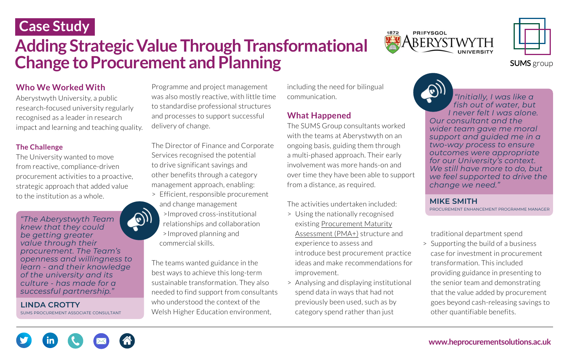### **Who We Worked With**

Aberystwyth University, a public research-focused university regularly recognised as a leader in research impact and learning and teaching quality.

#### **The Challenge**

The University wanted to move from reactive, compliance-driven procurement activities to a proactive, strategic approach that added value to the institution as a whole.

Programme and project management was also mostly reactive, with little time to standardise professional structures and processes to support successful delivery of change.

The Director of Finance and Corporate Services recognised the potential to drive significant savings and other benefits through a category management approach, enabling:

- > Efficient, responsible procurement and change management
- >Improved cross-institutional relationships and collaboration >Improved planning and commercial skills.

The teams wanted guidance in the best ways to achieve this long-term sustainable transformation. They also needed to find support from consultants who understood the context of the Welsh Higher Education environment,

# **Case Study**



# **Adding Strategic Value Through Transformational Change to Procurement and Planning**

**[www.heprocurementsolutions.ac.uk](https://heprocurementsolutions.ac.uk/)**

including the need for bilingual communication.

### **What Happened**

The SUMS Group consultants worked with the teams at Aberystwyth on an ongoing basis, guiding them through a multi-phased approach. Their early involvement was more hands-on and over time they have been able to support from a distance, as required.

The activities undertaken included:

- > Using the nationally recognised [existing Procurement Maturity](https://heprocurementsolutions.ac.uk/services/improve-procurement-capability/) Assessment (PMA+) structure a experience to assess and introduce best procurement pra ideas and make recommendation improvement.
- > Analysing and displaying institut spend data in ways that had not previously been used, such as by category spend rather than just



**SUMS** group

| nd     | traditional department spend         |
|--------|--------------------------------------|
|        | > Supporting the build of a business |
| actice | case for investment in procurement   |
| ns for | transformation. This included        |
|        | providing guidance in presenting to  |
| ional  | the senior team and demonstrating    |
|        | that the value added by procurement  |

goes beyond cash-releasing savings to

other quantifiable benefits.

*"Initially, I was like a fish out of water, but I never felt I was alone. Our consultant and the wider team gave me moral support and guided me in a two-way process to ensure outcomes were appropriate for our University's context. We still have more to do, but we feel supported to drive the change we need."* 

#### **MIKE SMITH**  PROCUREMENT ENHANCEMENT PROGRAMME MANAGER

*"The Aberystwyth Team knew that they could be getting greater value through their procurement. The Team's openness and willingness to learn - and their knowledge of the university and its culture - has made for a successful partnership."* 

#### **LINDA CROTTY**

SUMS PROCUREMENT ASSOCIATE CONSULTANT